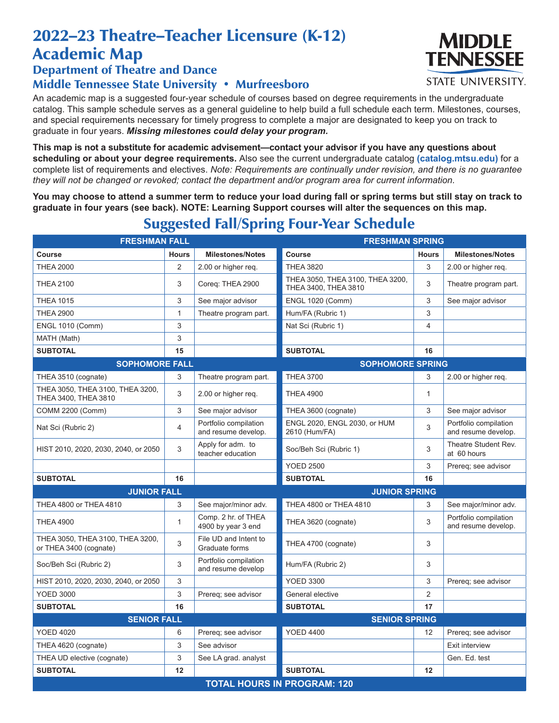## 2022–23 Theatre–Teacher Licensure (K-12) Academic Map

## Department of Theatre and Dance Middle Tennessee State University • Murfreesboro

An academic map is a suggested four-year schedule of courses based on degree requirements in the undergraduate catalog. This sample schedule serves as a general guideline to help build a full schedule each term. Milestones, courses, and special requirements necessary for timely progress to complete a major are designated to keep you on track to graduate in four years. *Missing milestones could delay your program.*

**This map is not a substitute for academic advisement—contact your advisor if you have any questions about scheduling or about your degree requirements.** Also see the current undergraduate catalog **(catalog.mtsu.edu)** for a complete list of requirements and electives. *Note: Requirements are continually under revision, and there is no guarantee they will not be changed or revoked; contact the department and/or program area for current information.*

**You may choose to attend a summer term to reduce your load during fall or spring terms but still stay on track to graduate in four years (see back). NOTE: Learning Support courses will alter the sequences on this map.**

**FRESHMAN FALL FRESHMAN SPRING** Course Hours | Milestones/Notes | Course Hours | Milestones/Notes THEA 2000 2 2.00 or higher req. THEA 3820 3 2.00 or higher req. THEA 2100 **THEA 2100** 3 Coreq: THEA 2900 THEA 3050, THEA 3100, THEA 3200, THEA 3050, THEA 3100, THEA 3200,<br>THEA 3400, THEA 3810 THEA 1015 **3** See major advisor ENGL 1020 (Comm) 3 See major advisor THEA 2900 1 1 Theatre program part. Hum/FA (Rubric 1) 3 3 ENGL 1010 (Comm) 3 3 3 Nat Sci (Rubric 1) 4 4 MATH (Math) 3 **SUBTOTAL 15 SUBTOTAL 16 SOPHOMORE FALL SOPHOMORE SPRING** THEA 3510 (cognate) 3 Theatre program part. THEA 3700 3 2.00 or higher req. THEA 3050, THEA 3100, THEA 3200, THEA 3050, THEA 3100, THEA 3200,  $\begin{vmatrix} 3 & 2.00 \end{vmatrix}$  or higher req. THEA 4900 COMM 2200 (Comm) 3 See major advisor THEA 3600 (cognate) 3 See major advisor Nat Sci (Rubric 2)  $\begin{array}{c|c} & 4 & \text{Portfolio compilation} \end{array}$ and resume develop. ENGL 2020, ENGL 2030, or HUM 2610 (Hum/FA) <sup>3</sup> Portfolio compilation and resume develop. HIST 2010, 2020, 2030, 2040, or 2050 3 Apply for adm. to teacher education Soc/Beh Sci (Rubric 1) 3 Theatre Student Rev. at 60 hours YOED 2500 3 Prereq; see advisor **SUBTOTAL 16 SUBTOTAL 16 JUNIOR FALL JUNIOR SPRING** THEA 4800 or THEA 4810 3 See major/minor adv. THEA 4800 or THEA 4810 3 See major/minor adv. THEA 4900 1 Comp. 2 hr. of THEA<br>
4900 by year 3 end  $\begin{array}{ccc} 3 & \text{Port folio compilation} \\ 3 & \text{particular} \\ \end{array}$ and resume develop. THEA 3050, THEA 3100, THEA 3200,  $\begin{vmatrix} 3 & 5 \ 1 & 3 \end{vmatrix}$  File UD and Intent to File UD and Intent to **THEA 4700 (cognate)** 3 Soc/Beh Sci (Rubric 2) 3 Portfolio compilation and resume develop Hum/FA (Rubric 2) 3 HIST 2010, 2020, 2030, 2040, or 2050 3 YOED 3300 3 Prereq; see advisor YOED 3000 2 3 Prereq; see advisor General elective 2 **SUBTOTAL 16 SUBTOTAL 17 SENIOR FALL SENIOR SPRING** YOED 4020 **12 Prereqies Access 12 COLL** 6 Prereq; see advisor YOED 4400 12 Prereq; see advisor THEA 4620 (cognate) 3 See advisor Exit interview Burn and See advisor Exit interview THEA UD elective (cognate) 3 See LA grad. analyst Gen. Ed. test Gen. Ed. test **SUBTOTAL 12 SUBTOTAL 12 TOTAL HOURS IN PROGRAM: 120**

## Suggested Fall/Spring Four-Year Schedule